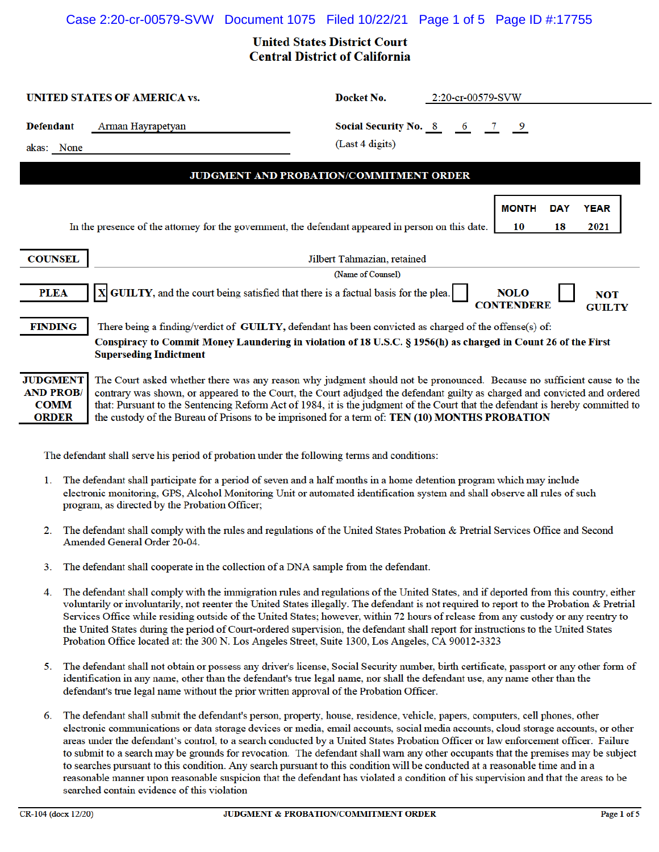## Case 2:20-cr-00579-SVW Document 1075 Filed 10/22/21 Page 1 of 5 Page ID #:17755

## **United States District Court Central District of California**

| <b>UNITED STATES OF AMERICA vs.</b>                                                                                                                                 |                                                                                                                                                                                                                                                                                                                                                                                        | Docket No.                                     | 2:20-cr-00579-SVW |                                  |  |                             |
|---------------------------------------------------------------------------------------------------------------------------------------------------------------------|----------------------------------------------------------------------------------------------------------------------------------------------------------------------------------------------------------------------------------------------------------------------------------------------------------------------------------------------------------------------------------------|------------------------------------------------|-------------------|----------------------------------|--|-----------------------------|
| <b>Defendant</b><br>akas: None                                                                                                                                      | Arman Hayrapetyan                                                                                                                                                                                                                                                                                                                                                                      | Social Security No. 8 6 7 9<br>(Last 4 digits) |                   |                                  |  |                             |
| JUDGMENT AND PROBATION/COMMITMENT ORDER                                                                                                                             |                                                                                                                                                                                                                                                                                                                                                                                        |                                                |                   |                                  |  |                             |
| <b>MONTH</b><br><b>YEAR</b><br><b>DAY</b><br>In the presence of the attorney for the government, the defendant appeared in person on this date.<br>2021<br>10<br>18 |                                                                                                                                                                                                                                                                                                                                                                                        |                                                |                   |                                  |  |                             |
| <b>COUNSEL</b>                                                                                                                                                      | Jilbert Tahmazian, retained                                                                                                                                                                                                                                                                                                                                                            |                                                |                   |                                  |  |                             |
|                                                                                                                                                                     |                                                                                                                                                                                                                                                                                                                                                                                        | (Name of Counsel)                              |                   |                                  |  |                             |
| <b>PLEA</b>                                                                                                                                                         | X GUILTY, and the court being satisfied that there is a factual basis for the plea.                                                                                                                                                                                                                                                                                                    |                                                |                   | <b>NOLO</b><br><b>CONTENDERE</b> |  | <b>NOT</b><br><b>GUILTY</b> |
| <b>FINDING</b>                                                                                                                                                      | There being a finding/verdict of GUILTY, defendant has been convicted as charged of the offense(s) of:                                                                                                                                                                                                                                                                                 |                                                |                   |                                  |  |                             |
| Conspiracy to Commit Money Laundering in violation of 18 U.S.C. § 1956(h) as charged in Count 26 of the First<br><b>Superseding Indictment</b>                      |                                                                                                                                                                                                                                                                                                                                                                                        |                                                |                   |                                  |  |                             |
| <b>JUDGMENT</b><br><b>AND PROB/</b><br><b>COMM</b>                                                                                                                  | The Court asked whether there was any reason why judgment should not be pronounced. Because no sufficient cause to the<br>contrary was shown, or appeared to the Court, the Court adjudged the defendant guilty as charged and convicted and ordered<br>that: Pursuant to the Sentencing Reform Act of 1984, it is the judgment of the Court that the defendant is hereby committed to |                                                |                   |                                  |  |                             |

The defendant shall serve his period of probation under the following terms and conditions:

1. The defendant shall participate for a period of seven and a half months in a home detention program which may include electronic monitoring, GPS, Alcohol Monitoring Unit or automated identification system and shall observe all rules of such program, as directed by the Probation Officer;

the custody of the Bureau of Prisons to be imprisoned for a term of: TEN (10) MONTHS PROBATION

- 2. The defendant shall comply with the rules and regulations of the United States Probation & Pretrial Services Office and Second Amended General Order 20-04.
- 3. The defendant shall cooperate in the collection of a DNA sample from the defendant.
- The defendant shall comply with the immigration rules and regulations of the United States, and if deported from this country, either  $\overline{4}$ voluntarily or involuntarily, not reenter the United States illegally. The defendant is not required to report to the Probation & Pretrial Services Office while residing outside of the United States; however, within 72 hours of release from any custody or any reentry to the United States during the period of Court-ordered supervision, the defendant shall report for instructions to the United States Probation Office located at: the 300 N. Los Angeles Street, Suite 1300, Los Angeles, CA 90012-3323
- 5. The defendant shall not obtain or possess any driver's license, Social Security number, birth certificate, passport or any other form of identification in any name, other than the defendant's true legal name, nor shall the defendant use, any name other than the defendant's true legal name without the prior written approval of the Probation Officer.
- The defendant shall submit the defendant's person, property, house, residence, vehicle, papers, computers, cell phones, other 6. electronic communications or data storage devices or media, email accounts, social media accounts, cloud storage accounts, or other areas under the defendant's control, to a search conducted by a United States Probation Officer or law enforcement officer. Failure to submit to a search may be grounds for revocation. The defendant shall warn any other occupants that the premises may be subject to searches pursuant to this condition. Any search pursuant to this condition will be conducted at a reasonable time and in a reasonable manner upon reasonable suspicion that the defendant has violated a condition of his supervision and that the areas to be searched contain evidence of this violation

**ORDER**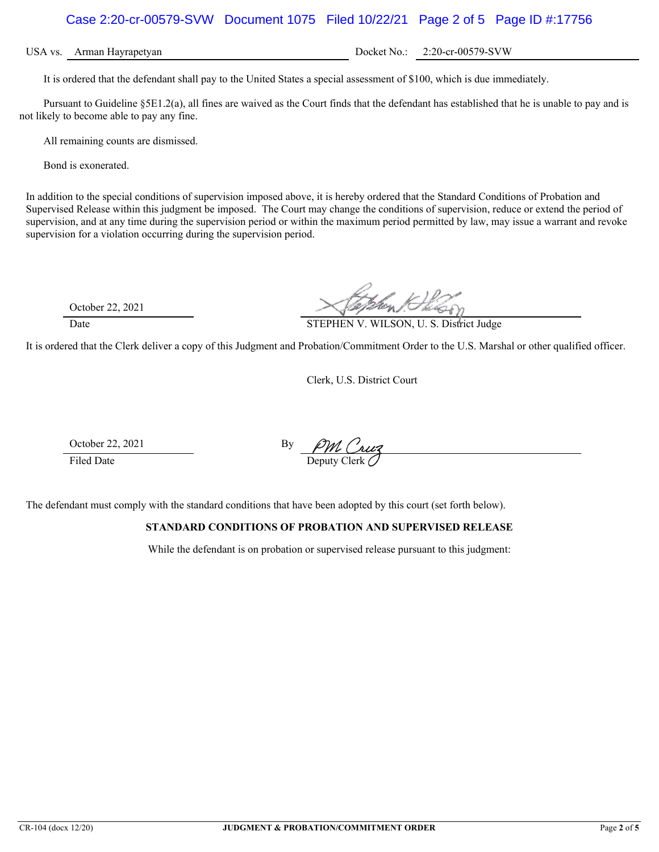# Case 2:20-cr-00579-SVW Document 1075 Filed 10/22/21 Page 2 of 5 Page ID #:17756

USA vs. Arman Hayrapetyan **Docket No.: 2:20-cr-00579-SVW** 

It is ordered that the defendant shall pay to the United States a special assessment of \$100, which is due immediately.

Pursuant to Guideline §5E1.2(a), all fines are waived as the Court finds that the defendant has established that he is unable to pay and is not likely to become able to pay any fine.

All remaining counts are dismissed.

Bond is exonerated.

In addition to the special conditions of supervision imposed above, it is hereby ordered that the Standard Conditions of Probation and Supervised Release within this judgment be imposed. The Court may change the conditions of supervision, reduce or extend the period of supervision, and at any time during the supervision period or within the maximum period permitted by law, may issue a warrant and revoke supervision for a violation occurring during the supervision period.

October 22, 2021

Date STEPHEN V. WILSON, U. S. District Judge

It is ordered that the Clerk deliver a copy of this Judgment and Probation/Commitment Order to the U.S. Marshal or other qualified officer.

Clerk, U.S. District Court

October 22, 2021

October 22, 2021<br>Filed Date By PM Cruz

The defendant must comply with the standard conditions that have been adopted by this court (set forth below).

### **STANDARD CONDITIONS OF PROBATION AND SUPERVISED RELEASE**

While the defendant is on probation or supervised release pursuant to this judgment: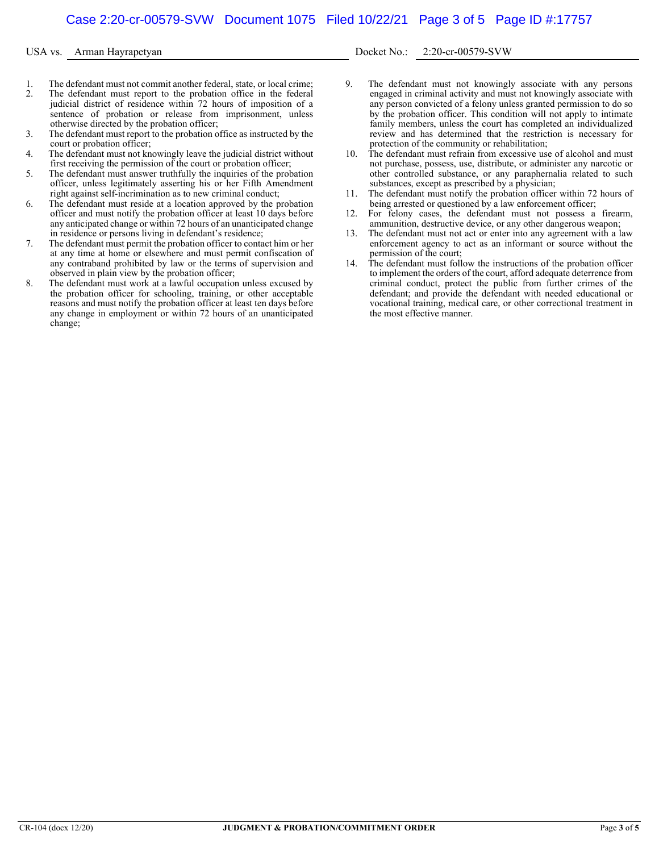USA vs. Arman Hayrapetyan **Docket No.: 2:20-cr-00579-SVW** 

- 1. The defendant must not commit another federal, state, or local crime;<br>
The defendant must report to the probation office in the federal The defendant must report to the probation office in the federal judicial district of residence within 72 hours of imposition of a sentence of probation or release from imprisonment, unless
- otherwise directed by the probation officer; 3. The defendant must report to the probation office as instructed by the court or probation officer;
- 4. The defendant must not knowingly leave the judicial district without first receiving the permission of the court or probation officer;
- 5. The defendant must answer truthfully the inquiries of the probation officer, unless legitimately asserting his or her Fifth Amendment right against self-incrimination as to new criminal conduct;
- 6. The defendant must reside at a location approved by the probation officer and must notify the probation officer at least 10 days before any anticipated change or within 72 hours of an unanticipated change in residence or persons living in defendant's residence;
- 7. The defendant must permit the probation officer to contact him or her at any time at home or elsewhere and must permit confiscation of any contraband prohibited by law or the terms of supervision and observed in plain view by the probation officer;
- 8. The defendant must work at a lawful occupation unless excused by the probation officer for schooling, training, or other acceptable reasons and must notify the probation officer at least ten days before any change in employment or within 72 hours of an unanticipated change;
- 9. The defendant must not knowingly associate with any persons engaged in criminal activity and must not knowingly associate with any person convicted of a felony unless granted permission to do so by the probation officer. This condition will not apply to intimate family members, unless the court has completed an individualized review and has determined that the restriction is necessary for protection of the community or rehabilitation;
- 10. The defendant must refrain from excessive use of alcohol and must not purchase, possess, use, distribute, or administer any narcotic or other controlled substance, or any paraphernalia related to such substances, except as prescribed by a physician;
- 11. The defendant must notify the probation officer within 72 hours of being arrested or questioned by a law enforcement officer;
- 12. For felony cases, the defendant must not possess a firearm, ammunition, destructive device, or any other dangerous weapon;
- 13. The defendant must not act or enter into any agreement with a law enforcement agency to act as an informant or source without the permission of the court;
- 14. The defendant must follow the instructions of the probation officer to implement the orders of the court, afford adequate deterrence from criminal conduct, protect the public from further crimes of the defendant; and provide the defendant with needed educational or vocational training, medical care, or other correctional treatment in the most effective manner.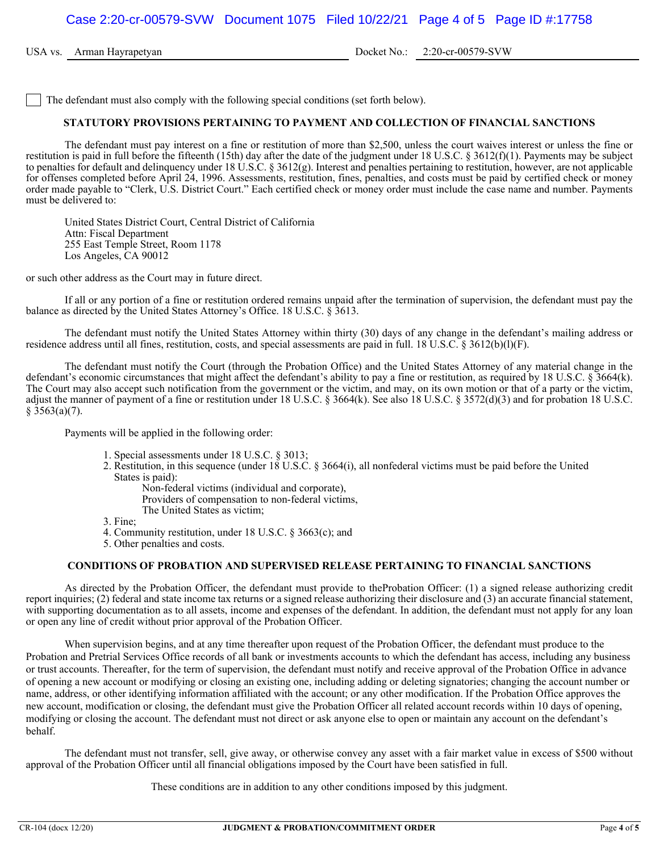USA vs. Arman Hayrapetyan Docket No.: 2:20-cr-00579-SVW

The defendant must also comply with the following special conditions (set forth below).

#### **STATUTORY PROVISIONS PERTAINING TO PAYMENT AND COLLECTION OF FINANCIAL SANCTIONS**

 The defendant must pay interest on a fine or restitution of more than \$2,500, unless the court waives interest or unless the fine or restitution is paid in full before the fifteenth (15th) day after the date of the judgment under 18 U.S.C. § 3612(f)(1). Payments may be subject to penalties for default and delinquency under 18 U.S.C. § 3612(g). Interest and penalties pertaining to restitution, however, are not applicable for offenses completed before April 24, 1996. Assessments, restitution, fines, penalties, and costs must be paid by certified check or money order made payable to "Clerk, U.S. District Court." Each certified check or money order must include the case name and number. Payments must be delivered to:

 United States District Court, Central District of California Attn: Fiscal Department 255 East Temple Street, Room 1178 Los Angeles, CA 90012

or such other address as the Court may in future direct.

 If all or any portion of a fine or restitution ordered remains unpaid after the termination of supervision, the defendant must pay the balance as directed by the United States Attorney's Office. 18 U.S.C. § 3613.

 The defendant must notify the United States Attorney within thirty (30) days of any change in the defendant's mailing address or residence address until all fines, restitution, costs, and special assessments are paid in full. 18 U.S.C. § 3612(b)(l)(F).

 The defendant must notify the Court (through the Probation Office) and the United States Attorney of any material change in the defendant's economic circumstances that might affect the defendant's ability to pay a fine or restitution, as required by 18 U.S.C. § 3664(k). The Court may also accept such notification from the government or the victim, and may, on its own motion or that of a party or the victim, adjust the manner of payment of a fine or restitution under 18 U.S.C. § 3664(k). See also 18 U.S.C. § 3572(d)(3) and for probation 18 U.S.C.  $§$  3563(a)(7).

Payments will be applied in the following order:

- 1. Special assessments under 18 U.S.C. § 3013;
- 2. Restitution, in this sequence (under  $18 \text{ U.S.C. }$  § 3664(i), all nonfederal victims must be paid before the United States is paid):
	- Non-federal victims (individual and corporate), Providers of compensation to non-federal victims,
	- The United States as victim;
- 3. Fine;
- 4. Community restitution, under 18 U.S.C. § 3663(c); and
- 5. Other penalties and costs.

### **CONDITIONS OF PROBATION AND SUPERVISED RELEASE PERTAINING TO FINANCIAL SANCTIONS**

 As directed by the Probation Officer, the defendant must provide to theProbation Officer: (1) a signed release authorizing credit report inquiries; (2) federal and state income tax returns or a signed release authorizing their disclosure and (3) an accurate financial statement, with supporting documentation as to all assets, income and expenses of the defendant. In addition, the defendant must not apply for any loan or open any line of credit without prior approval of the Probation Officer.

 When supervision begins, and at any time thereafter upon request of the Probation Officer, the defendant must produce to the Probation and Pretrial Services Office records of all bank or investments accounts to which the defendant has access, including any business or trust accounts. Thereafter, for the term of supervision, the defendant must notify and receive approval of the Probation Office in advance of opening a new account or modifying or closing an existing one, including adding or deleting signatories; changing the account number or name, address, or other identifying information affiliated with the account; or any other modification. If the Probation Office approves the new account, modification or closing, the defendant must give the Probation Officer all related account records within 10 days of opening, modifying or closing the account. The defendant must not direct or ask anyone else to open or maintain any account on the defendant's behalf.

 The defendant must not transfer, sell, give away, or otherwise convey any asset with a fair market value in excess of \$500 without approval of the Probation Officer until all financial obligations imposed by the Court have been satisfied in full.

These conditions are in addition to any other conditions imposed by this judgment.